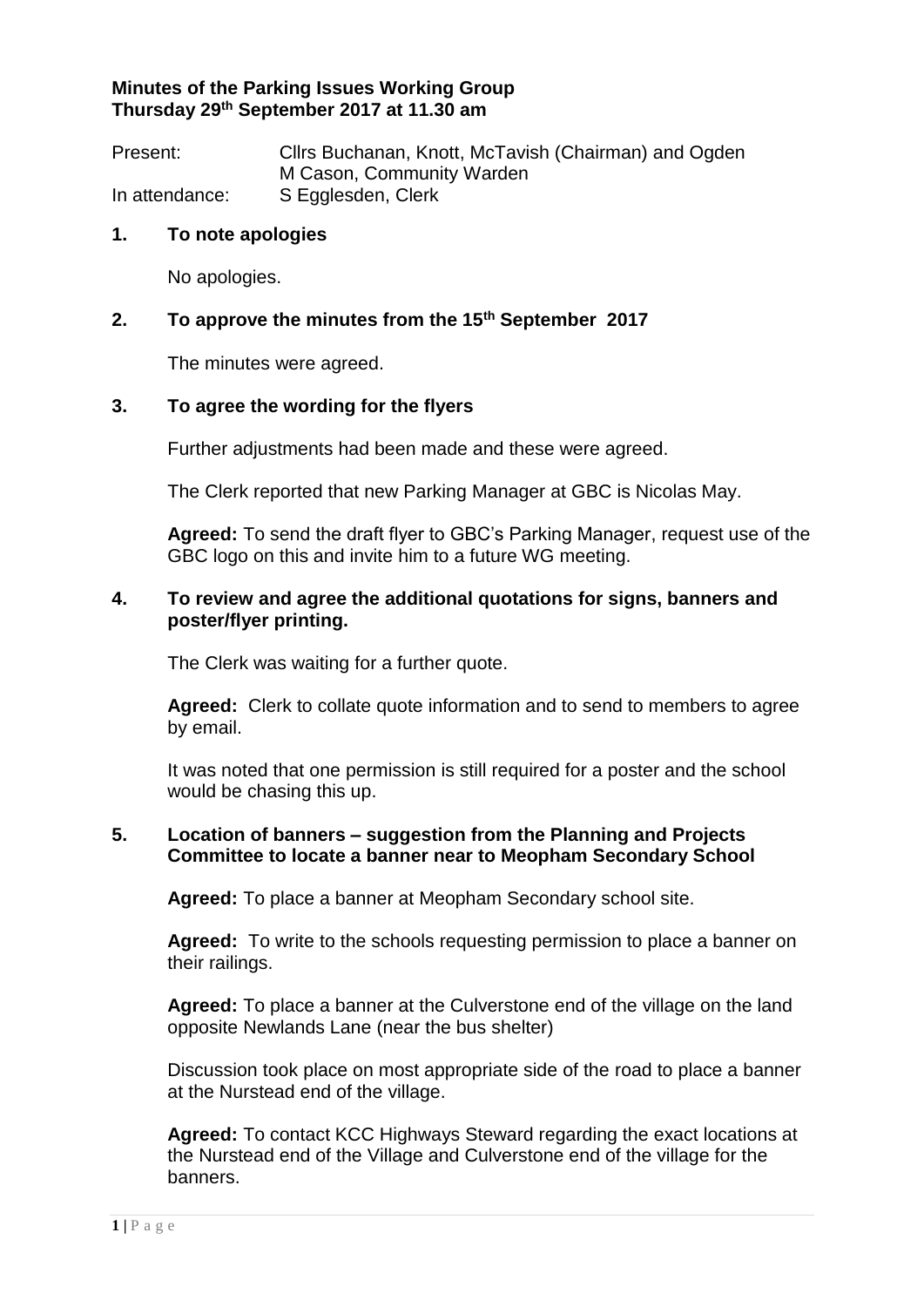# **Minutes of the Parking Issues Working Group Thursday 29th September 2017 at 11.30 am**

Present: Cllrs Buchanan, Knott, McTavish (Chairman) and Ogden M Cason, Community Warden In attendance: S Egglesden, Clerk

#### **1. To note apologies**

No apologies.

# **2. To approve the minutes from the 15th September 2017**

The minutes were agreed.

# **3. To agree the wording for the flyers**

Further adjustments had been made and these were agreed.

The Clerk reported that new Parking Manager at GBC is Nicolas May.

**Agreed:** To send the draft flyer to GBC's Parking Manager, request use of the GBC logo on this and invite him to a future WG meeting.

#### **4. To review and agree the additional quotations for signs, banners and poster/flyer printing.**

The Clerk was waiting for a further quote.

**Agreed:** Clerk to collate quote information and to send to members to agree by email.

It was noted that one permission is still required for a poster and the school would be chasing this up.

# **5. Location of banners – suggestion from the Planning and Projects Committee to locate a banner near to Meopham Secondary School**

**Agreed:** To place a banner at Meopham Secondary school site.

**Agreed:** To write to the schools requesting permission to place a banner on their railings.

**Agreed:** To place a banner at the Culverstone end of the village on the land opposite Newlands Lane (near the bus shelter)

Discussion took place on most appropriate side of the road to place a banner at the Nurstead end of the village.

**Agreed:** To contact KCC Highways Steward regarding the exact locations at the Nurstead end of the Village and Culverstone end of the village for the banners.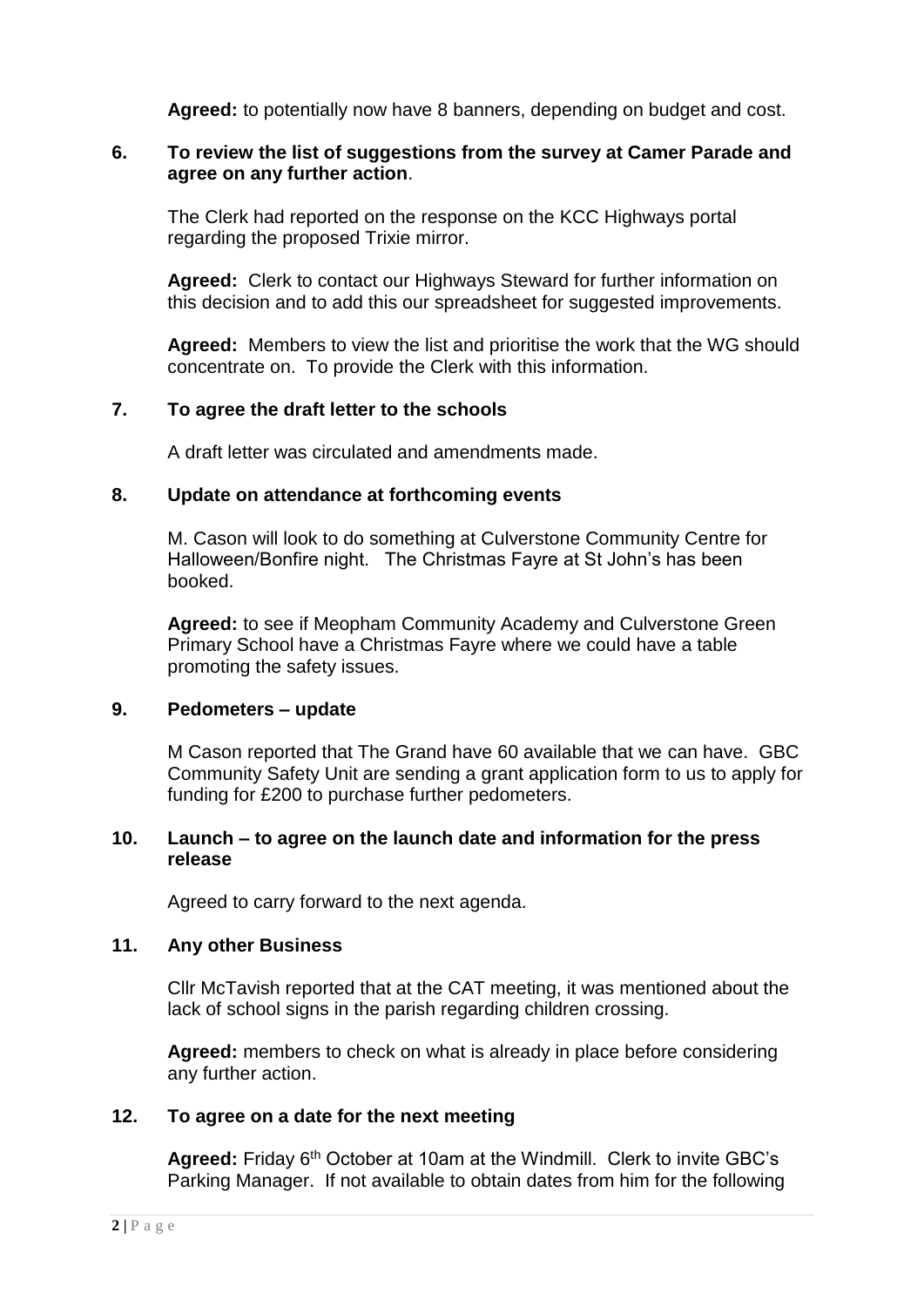**Agreed:** to potentially now have 8 banners, depending on budget and cost.

# **6. To review the list of suggestions from the survey at Camer Parade and agree on any further action**.

The Clerk had reported on the response on the KCC Highways portal regarding the proposed Trixie mirror.

**Agreed:** Clerk to contact our Highways Steward for further information on this decision and to add this our spreadsheet for suggested improvements.

**Agreed:** Members to view the list and prioritise the work that the WG should concentrate on. To provide the Clerk with this information.

# **7. To agree the draft letter to the schools**

A draft letter was circulated and amendments made.

# **8. Update on attendance at forthcoming events**

M. Cason will look to do something at Culverstone Community Centre for Halloween/Bonfire night. The Christmas Fayre at St John's has been booked.

**Agreed:** to see if Meopham Community Academy and Culverstone Green Primary School have a Christmas Fayre where we could have a table promoting the safety issues.

# **9. Pedometers – update**

M Cason reported that The Grand have 60 available that we can have. GBC Community Safety Unit are sending a grant application form to us to apply for funding for £200 to purchase further pedometers.

#### **10. Launch – to agree on the launch date and information for the press release**

Agreed to carry forward to the next agenda.

# **11. Any other Business**

Cllr McTavish reported that at the CAT meeting, it was mentioned about the lack of school signs in the parish regarding children crossing.

**Agreed:** members to check on what is already in place before considering any further action.

# **12. To agree on a date for the next meeting**

Agreed: Friday 6<sup>th</sup> October at 10am at the Windmill. Clerk to invite GBC's Parking Manager. If not available to obtain dates from him for the following